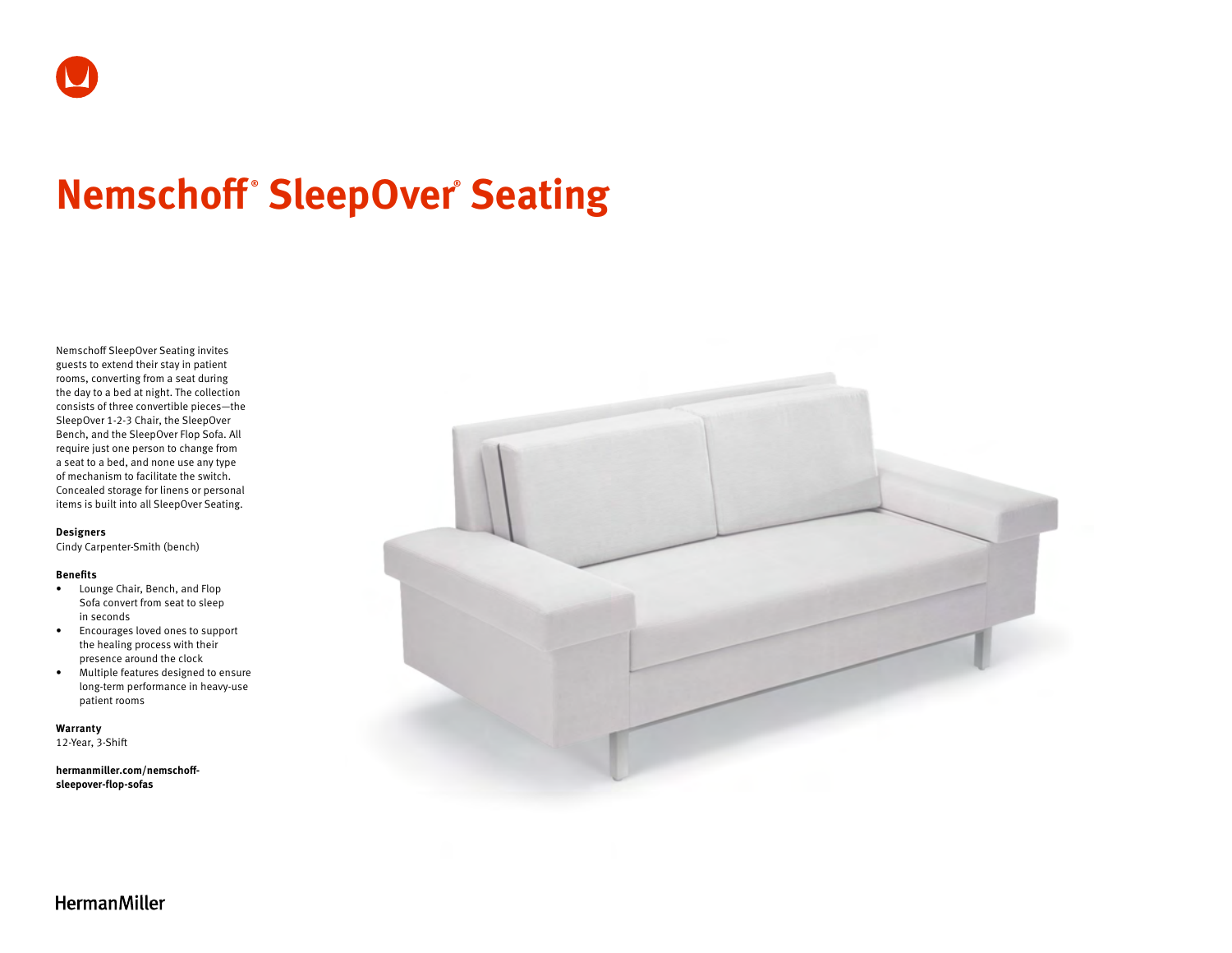# **Nemschoff ® SleepOver® Seating**

Nemschoff SleepOver Seating invites guests to extend their stay in patient rooms, converting from a seat during the day to a bed at night. The collection consists of three convertible pieces—the SleepOver 1-2-3 Chair, the SleepOver Bench, and the SleepOver Flop Sofa. All require just one person to change from a seat to a bed, and none use any type of mechanism to facilitate the switch. Concealed storage for linens or personal items is built into all SleepOver Seating.

#### **Designers**

Cindy Carpenter-Smith (bench)

#### **Benefits**

- Lounge Chair, Bench, and Flop Sofa convert from seat to sleep in seconds
- Encourages loved ones to support the healing process with their presence around the clock
- Multiple features designed to ensure long-term performance in heavy-use patient rooms

**Warranty** 

12-Year, 3-Shift

**[hermanmiller.com/nemschoff](http://hermanmiller.com/nemschoff-sleepover-flop-sofas)[sleepover-flop-sofas](http://hermanmiller.com/nemschoff-sleepover-flop-sofas)**